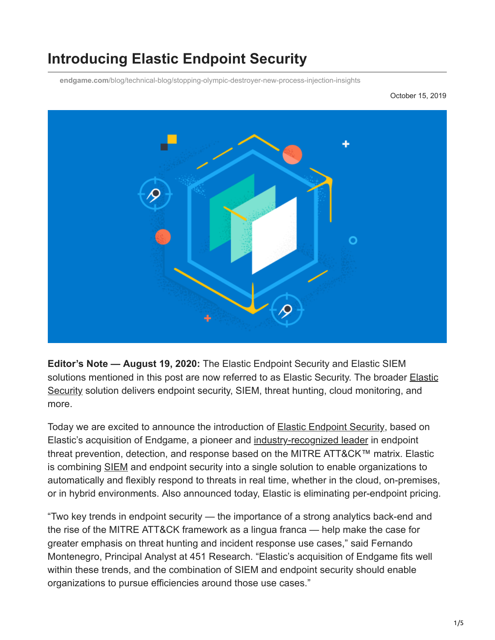# **Introducing Elastic Endpoint Security**

**endgame.com**[/blog/technical-blog/stopping-olympic-destroyer-new-process-injection-insights](https://www.endgame.com/blog/technical-blog/stopping-olympic-destroyer-new-process-injection-insights)

October 15, 2019



**Editor's Note — August 19, 2020:** The Elastic Endpoint Security and Elastic SIEM [solutions mentioned in this post are now referred to as Elastic Security. The broader Elastic](https://www.elastic.co/security) Security solution delivers endpoint security, SIEM, threat hunting, cloud monitoring, and more.

Today we are excited to announce the introduction of [Elastic Endpoint Security,](https://www.endgame.com/endpoint-security) based on Elastic's acquisition of Endgame, a pioneer and [industry-recognized leader](https://www.endgame.com/mitre-attck-coverage) in endpoint threat prevention, detection, and response based on the MITRE ATT&CK™ matrix. Elastic is combining [SIEM](https://www.endgame.com/siem) and endpoint security into a single solution to enable organizations to automatically and flexibly respond to threats in real time, whether in the cloud, on-premises, or in hybrid environments. Also announced today, Elastic is eliminating per-endpoint pricing.

"Two key trends in endpoint security — the importance of a strong analytics back-end and the rise of the MITRE ATT&CK framework as a lingua franca — help make the case for greater emphasis on threat hunting and incident response use cases," said Fernando Montenegro, Principal Analyst at 451 Research. "Elastic's acquisition of Endgame fits well within these trends, and the combination of SIEM and endpoint security should enable organizations to pursue efficiencies around those use cases."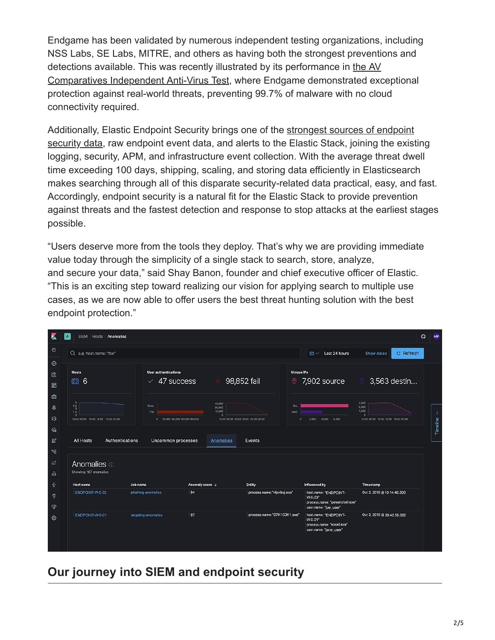Endgame has been validated by numerous independent testing organizations, including NSS Labs, SE Labs, MITRE, and others as having both the strongest preventions and detections available. This was recently illustrated by its performance in the AV [Comparatives Independent Anti-Virus Test, where Endgame demonstrated exc](https://www.av-comparatives.org/tests/business-security-test-august-september-2019-factsheet/)eptional protection against real-world threats, preventing 99.7% of malware with no cloud connectivity required.

[Additionally, Elastic Endpoint Security brings one of the strongest sources of endpoint](https://www.endgame.com/blog/technical-blog/heres-how-we-do-numbers) security data, raw endpoint event data, and alerts to the Elastic Stack, joining the existing logging, security, APM, and infrastructure event collection. With the average threat dwell time exceeding 100 days, shipping, scaling, and storing data efficiently in Elasticsearch makes searching through all of this disparate security-related data practical, easy, and fast. Accordingly, endpoint security is a natural fit for the Elastic Stack to provide prevention against threats and the fastest detection and response to stop attacks at the earliest stages possible.

"Users deserve more from the tools they deploy. That's why we are providing immediate value today through the simplicity of a single stack to search, store, analyze, and secure your data," said Shay Banon, founder and chief executive officer of Elastic. "This is an exciting step toward realizing our vision for applying search to multiple use cases, as we are now able to offer users the best threat hunting solution with the best endpoint protection."

| ×                 | SIEM / Hosts / Anomalies                                                                      |                                                           |                                                                               |                              |                                                                                             |                                                                | $\circledcirc$<br><b>MP</b> |
|-------------------|-----------------------------------------------------------------------------------------------|-----------------------------------------------------------|-------------------------------------------------------------------------------|------------------------------|---------------------------------------------------------------------------------------------|----------------------------------------------------------------|-----------------------------|
| $\odot$           | Q e.g. host.name: "foo"                                                                       |                                                           |                                                                               |                              | Last 24 hours<br>冊∨                                                                         | <b>C</b> Refresh<br>Show dates                                 |                             |
| $\odot$<br>俭<br>圂 | <b>Hosts</b><br>圖 6                                                                           | <b>User authentications</b><br>47 success<br>$\checkmark$ | 98,852 fail                                                                   | <b>Unique IPs</b><br>$\odot$ | 7,902 source                                                                                | 3,563 destin                                                   |                             |
| 幽<br>♨<br>¢þ      | 6<br>4,5<br>$\overline{\mathbf{3}}$<br>1.5<br>$\Omega$<br>10-02 09:00 10-02 18:00 10-03 03:00 | Succ.<br>Fall<br>0 20,000 40,000 60,000 80,000            | 45,000<br>30,000<br>15,000<br>$\Delta$<br>10-02 09:00 10-02 18:00 10-03 03:00 | Src.<br>Dost.<br>$\circ$     | 2,000<br>4,000<br>6,000                                                                     | 4,500<br>3,000<br>1,500<br>10-02 09:00 10-02 18:00 10-03 03:00 | K                           |
| €<br>回            | <b>Authentications</b><br><b>All Hosts</b>                                                    | Uncommon processes                                        | <b>Anomalies</b>                                                              | Events                       |                                                                                             |                                                                | Timeline                    |
| ᄝ                 |                                                                                               |                                                           |                                                                               |                              |                                                                                             |                                                                |                             |
| I<br>$\triangle$  | Anomalies <sup>1</sup><br>Showing: 167 anomalies                                              |                                                           |                                                                               |                              |                                                                                             |                                                                |                             |
| ❖                 | Host name                                                                                     | Job name                                                  | Anomaly score $\downarrow$                                                    | Entity                       | Influenced by                                                                               | Timestamp                                                      |                             |
| ೪<br>Ş            | ENDPOINT-W-0-03                                                                               | phishing-anomalies                                        | 94                                                                            | process.name:"vtjxvbxj.exe"  | host.name: "ENDPOINT-<br>W-0-03"<br>process.name: "powershell.exe"<br>user.name: "joe_user" | Oct 2, 2019 @ 10:14:49.000                                     |                             |
| ⊛                 | ENDPOINT-W-0-01                                                                               | targeting-anomalies                                       | 97                                                                            | process.name:"D7K1C3K1.exe"  | host.name: "ENDPOINT-<br>W-0-01"<br>process.name: "excel.exe"<br>user.name: "jane_user"     | Oct 2, 2019 @ 09:42:58.000                                     |                             |
|                   |                                                                                               |                                                           |                                                                               |                              |                                                                                             |                                                                |                             |

## **Our journey into SIEM and endpoint security**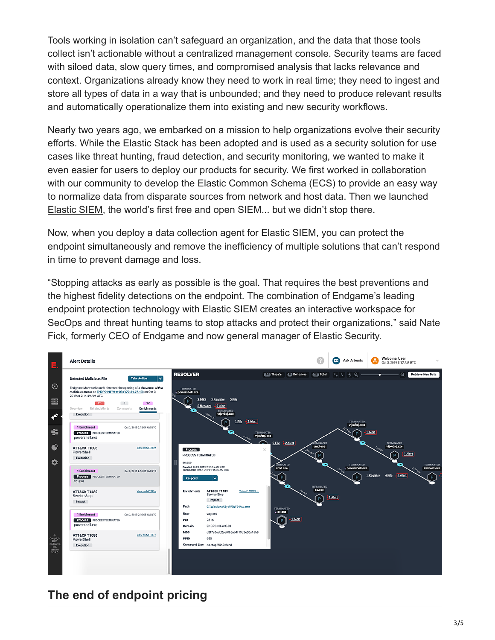Tools working in isolation can't safeguard an organization, and the data that those tools collect isn't actionable without a centralized management console. Security teams are faced with siloed data, slow query times, and compromised analysis that lacks relevance and context. Organizations already know they need to work in real time; they need to ingest and store all types of data in a way that is unbounded; and they need to produce relevant results and automatically operationalize them into existing and new security workflows.

Nearly two years ago, we embarked on a mission to help organizations evolve their security efforts. While the Elastic Stack has been adopted and is used as a security solution for use cases like threat hunting, fraud detection, and security monitoring, we wanted to make it even easier for users to deploy our products for security. We first worked in collaboration with our community to develop the Elastic Common Schema (ECS) to provide an easy way to normalize data from disparate sources from network and host data. Then we launched [Elastic SIEM](https://www.endgame.com/siem), the world's first free and open SIEM... but we didn't stop there.

Now, when you deploy a data collection agent for Elastic SIEM, you can protect the endpoint simultaneously and remove the inefficiency of multiple solutions that can't respond in time to prevent damage and loss.

"Stopping attacks as early as possible is the goal. That requires the best preventions and the highest fidelity detections on the endpoint. The combination of Endgame's leading endpoint protection technology with Elastic SIEM creates an interactive workspace for SecOps and threat hunting teams to stop attacks and protect their organizations," said Nate Fick, formerly CEO of Endgame and now general manager of Elastic Security.



## **The end of endpoint pricing**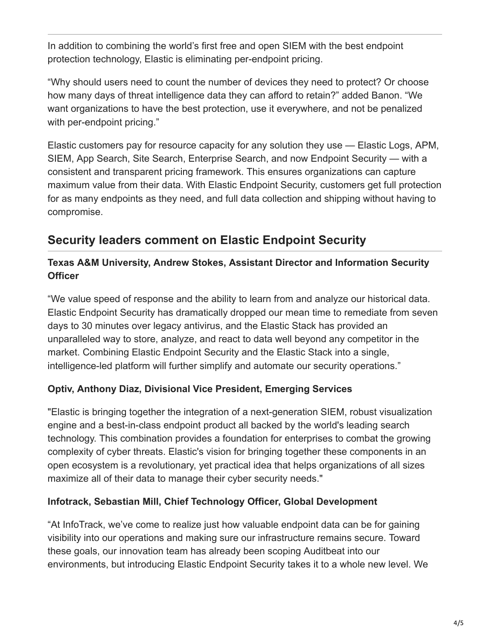In addition to combining the world's first free and open SIEM with the best endpoint protection technology, Elastic is eliminating per-endpoint pricing.

"Why should users need to count the number of devices they need to protect? Or choose how many days of threat intelligence data they can afford to retain?" added Banon. "We want organizations to have the best protection, use it everywhere, and not be penalized with per-endpoint pricing."

Elastic customers pay for resource capacity for any solution they use — Elastic Logs, APM, SIEM, App Search, Site Search, Enterprise Search, and now Endpoint Security — with a consistent and transparent pricing framework. This ensures organizations can capture maximum value from their data. With Elastic Endpoint Security, customers get full protection for as many endpoints as they need, and full data collection and shipping without having to compromise.

### **Security leaders comment on Elastic Endpoint Security**

#### **Texas A&M University, Andrew Stokes, Assistant Director and Information Security Officer**

"We value speed of response and the ability to learn from and analyze our historical data. Elastic Endpoint Security has dramatically dropped our mean time to remediate from seven days to 30 minutes over legacy antivirus, and the Elastic Stack has provided an unparalleled way to store, analyze, and react to data well beyond any competitor in the market. Combining Elastic Endpoint Security and the Elastic Stack into a single, intelligence-led platform will further simplify and automate our security operations."

#### **Optiv, Anthony Diaz, Divisional Vice President, Emerging Services**

"Elastic is bringing together the integration of a next-generation SIEM, robust visualization engine and a best-in-class endpoint product all backed by the world's leading search technology. This combination provides a foundation for enterprises to combat the growing complexity of cyber threats. Elastic's vision for bringing together these components in an open ecosystem is a revolutionary, yet practical idea that helps organizations of all sizes maximize all of their data to manage their cyber security needs."

#### **Infotrack, Sebastian Mill, Chief Technology Officer, Global Development**

"At InfoTrack, we've come to realize just how valuable endpoint data can be for gaining visibility into our operations and making sure our infrastructure remains secure. Toward these goals, our innovation team has already been scoping Auditbeat into our environments, but introducing Elastic Endpoint Security takes it to a whole new level. We